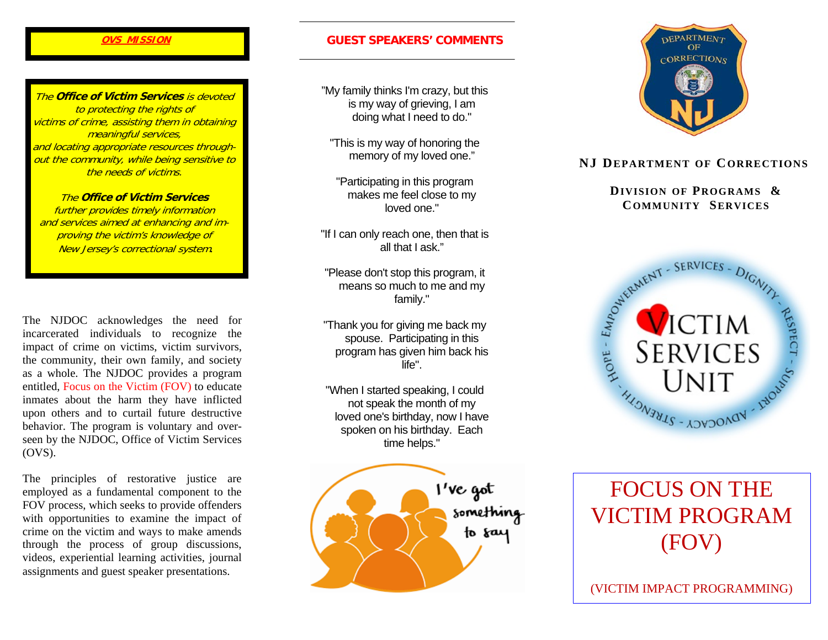#### **OVS MISSION**

The **Office of Victim Services** is devoted to protecting the rights of victims of crime, assisting them in obtaining meaningful services, and locating appropriate resources throughout the community, while being sensitive to the needs of victims.

The **Office of Victim Services** further provides timely information and services aimed at enhancing and improving the victim's knowledge of New Jersey's correctional system.

The NJDOC acknowledges the need for incarcerated individuals to recognize the impact of crime on victims, victim survivors, the community, their own family, and society as a whole. The NJDOC provides a program entitled, Focus on the Victim (FOV) to educate inmates about the harm they have inflicted upon others and to curtail future destructive behavior. The program is voluntary and overseen by the NJDOC, Office of Victim Services (OVS).

The principles of restorative justice are employed as a fundamental component to the FOV process, which seeks to provide offenders with opportunities to examine the impact of crime on the victim and ways to make amends through the process of group discussions, videos, experiential learning activities, journal assignments and guest speaker presentations.

# **GUEST SPEAKERS' COMMENTS**

"My family thinks I'm crazy, but this is my way of grieving, I am doing what I need to do."

"This is my way of honoring the memory of my loved one."

"Participating in this program makes me feel close to my loved one."

"If I can only reach one, then that is all that I ask."

"Please don't stop this program, it means so much to me and my family."

"Thank you for giving me back my spouse. Participating in this program has given him back his life".

"When I started speaking, I could not speak the month of my loved one's birthday, now I have spoken on his birthday. Each time helps."





## **NJ DEPARTMENT OF CORRECTIONS**

**DIVISION OF PROGRAMS & COMMUNITY SERVICES**



# FOCUS ON THE VICTIM PROGRAM (FOV)

(VICTIM IMPACT PROGRAMMING)